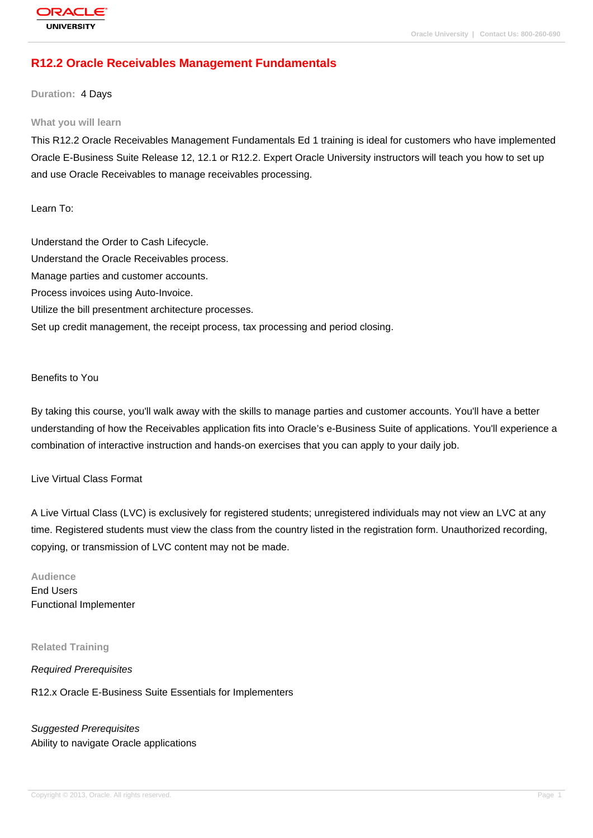# **[R12.2 Oracle R](http://education.oracle.com/pls/web_prod-plq-dad/db_pages.getpage?page_id=3)eceivables Management Fundamentals**

**Duration:** 4 Days

#### **What you will learn**

This R12.2 Oracle Receivables Management Fundamentals Ed 1 training is ideal for customers who have implemented Oracle E-Business Suite Release 12, 12.1 or R12.2. Expert Oracle University instructors will teach you how to set up and use Oracle Receivables to manage receivables processing.

Learn To:

Understand the Order to Cash Lifecycle. Understand the Oracle Receivables process. Manage parties and customer accounts. Process invoices using Auto-Invoice. Utilize the bill presentment architecture processes. Set up credit management, the receipt process, tax processing and period closing.

Benefits to You

By taking this course, you'll walk away with the skills to manage parties and customer accounts. You'll have a better understanding of how the Receivables application fits into Oracle's e-Business Suite of applications. You'll experience a combination of interactive instruction and hands-on exercises that you can apply to your daily job.

#### Live Virtual Class Format

A Live Virtual Class (LVC) is exclusively for registered students; unregistered individuals may not view an LVC at any time. Registered students must view the class from the country listed in the registration form. Unauthorized recording, copying, or transmission of LVC content may not be made.

**Audience** End Users Functional Implementer

**Related Training**

Required Prerequisites

R12.x Oracle E-Business Suite Essentials for Implementers

Suggested Prerequisites Ability to navigate Oracle applications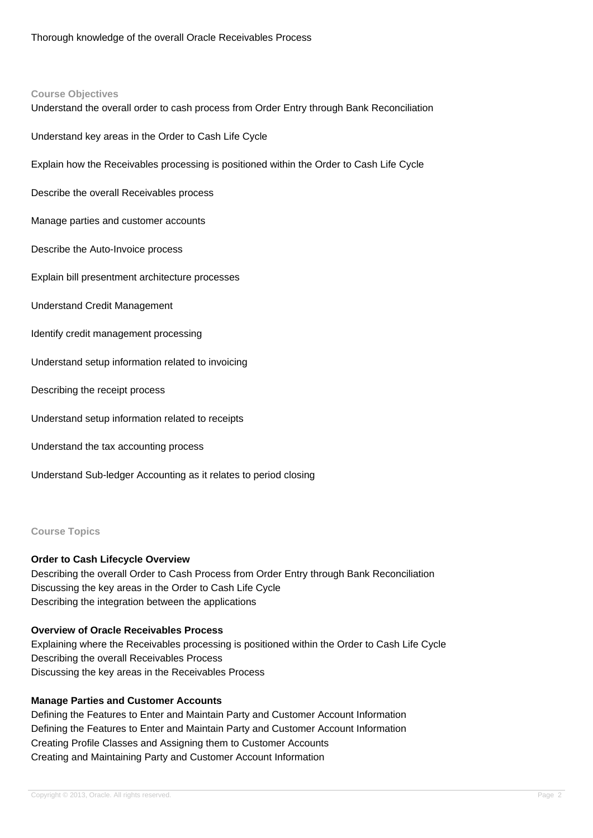# **Course Objectives** Understand the overall order to cash process from Order Entry through Bank Reconciliation Understand key areas in the Order to Cash Life Cycle Explain how the Receivables processing is positioned within the Order to Cash Life Cycle Describe the overall Receivables process Manage parties and customer accounts Describe the Auto-Invoice process Explain bill presentment architecture processes Understand Credit Management Identify credit management processing Understand setup information related to invoicing Describing the receipt process Understand setup information related to receipts Understand the tax accounting process

**Course Topics**

## **Order to Cash Lifecycle Overview**

Describing the overall Order to Cash Process from Order Entry through Bank Reconciliation Discussing the key areas in the Order to Cash Life Cycle Describing the integration between the applications

## **Overview of Oracle Receivables Process**

Understand Sub-ledger Accounting as it relates to period closing

Explaining where the Receivables processing is positioned within the Order to Cash Life Cycle Describing the overall Receivables Process Discussing the key areas in the Receivables Process

# **Manage Parties and Customer Accounts**

Defining the Features to Enter and Maintain Party and Customer Account Information Defining the Features to Enter and Maintain Party and Customer Account Information Creating Profile Classes and Assigning them to Customer Accounts Creating and Maintaining Party and Customer Account Information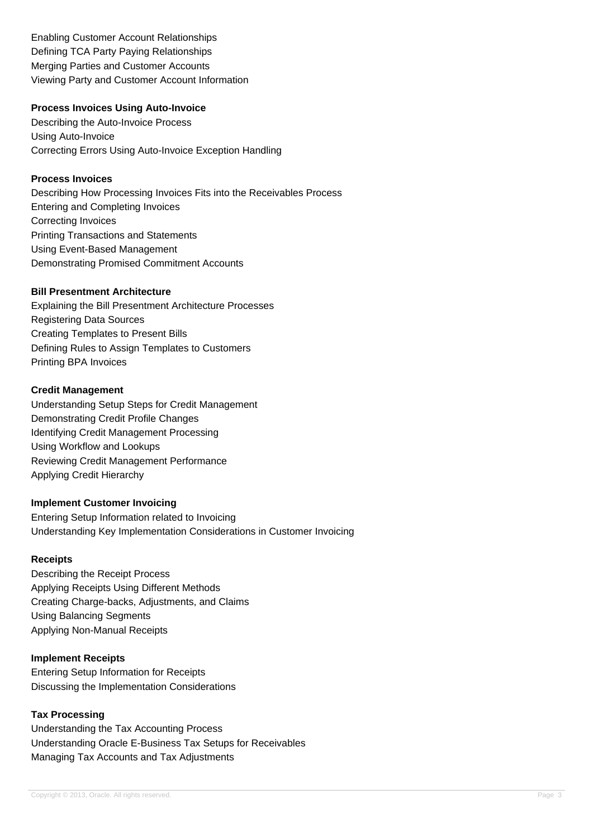Enabling Customer Account Relationships Defining TCA Party Paying Relationships Merging Parties and Customer Accounts Viewing Party and Customer Account Information

## **Process Invoices Using Auto-Invoice**

Describing the Auto-Invoice Process Using Auto-Invoice Correcting Errors Using Auto-Invoice Exception Handling

## **Process Invoices**

Describing How Processing Invoices Fits into the Receivables Process Entering and Completing Invoices Correcting Invoices Printing Transactions and Statements Using Event-Based Management Demonstrating Promised Commitment Accounts

## **Bill Presentment Architecture**

Explaining the Bill Presentment Architecture Processes Registering Data Sources Creating Templates to Present Bills Defining Rules to Assign Templates to Customers Printing BPA Invoices

## **Credit Management**

Understanding Setup Steps for Credit Management Demonstrating Credit Profile Changes Identifying Credit Management Processing Using Workflow and Lookups Reviewing Credit Management Performance Applying Credit Hierarchy

## **Implement Customer Invoicing**

Entering Setup Information related to Invoicing Understanding Key Implementation Considerations in Customer Invoicing

## **Receipts**

Describing the Receipt Process Applying Receipts Using Different Methods Creating Charge-backs, Adjustments, and Claims Using Balancing Segments Applying Non-Manual Receipts

## **Implement Receipts**

Entering Setup Information for Receipts Discussing the Implementation Considerations

# **Tax Processing**

Understanding the Tax Accounting Process Understanding Oracle E-Business Tax Setups for Receivables Managing Tax Accounts and Tax Adjustments